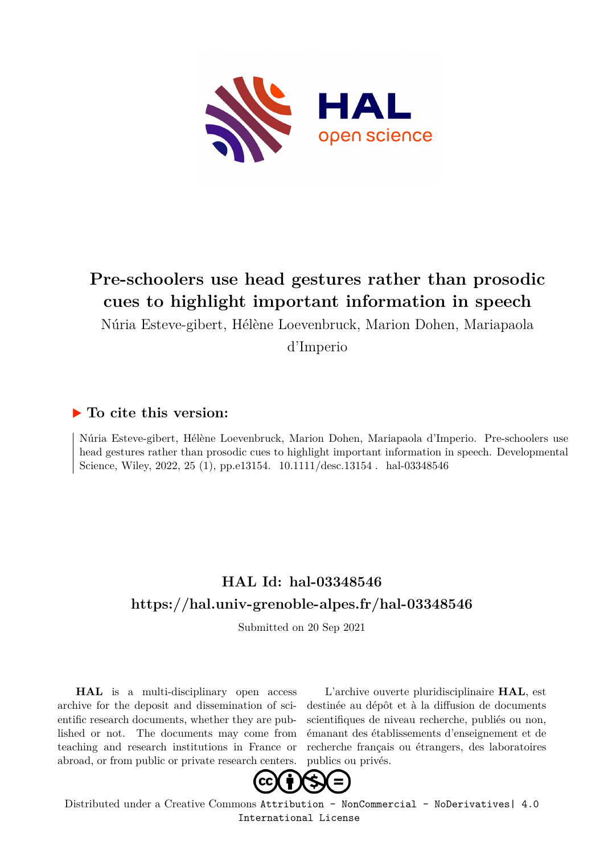

# **Pre-schoolers use head gestures rather than prosodic cues to highlight important information in speech**

Núria Esteve-gibert, Hélène Loevenbruck, Marion Dohen, Mariapaola

d'Imperio

# **To cite this version:**

Núria Esteve-gibert, Hélène Loevenbruck, Marion Dohen, Mariapaola d'Imperio. Pre-schoolers use head gestures rather than prosodic cues to highlight important information in speech. Developmental Science, Wiley, 2022, 25 (1), pp.e13154. 10.1111/desc.13154 . hal-03348546

# **HAL Id: hal-03348546 <https://hal.univ-grenoble-alpes.fr/hal-03348546>**

Submitted on 20 Sep 2021

**HAL** is a multi-disciplinary open access archive for the deposit and dissemination of scientific research documents, whether they are published or not. The documents may come from teaching and research institutions in France or abroad, or from public or private research centers.

L'archive ouverte pluridisciplinaire **HAL**, est destinée au dépôt et à la diffusion de documents scientifiques de niveau recherche, publiés ou non, émanant des établissements d'enseignement et de recherche français ou étrangers, des laboratoires publics ou privés.



Distributed under a Creative Commons [Attribution - NonCommercial - NoDerivatives| 4.0](http://creativecommons.org/licenses/by-nc-nd/4.0/) [International License](http://creativecommons.org/licenses/by-nc-nd/4.0/)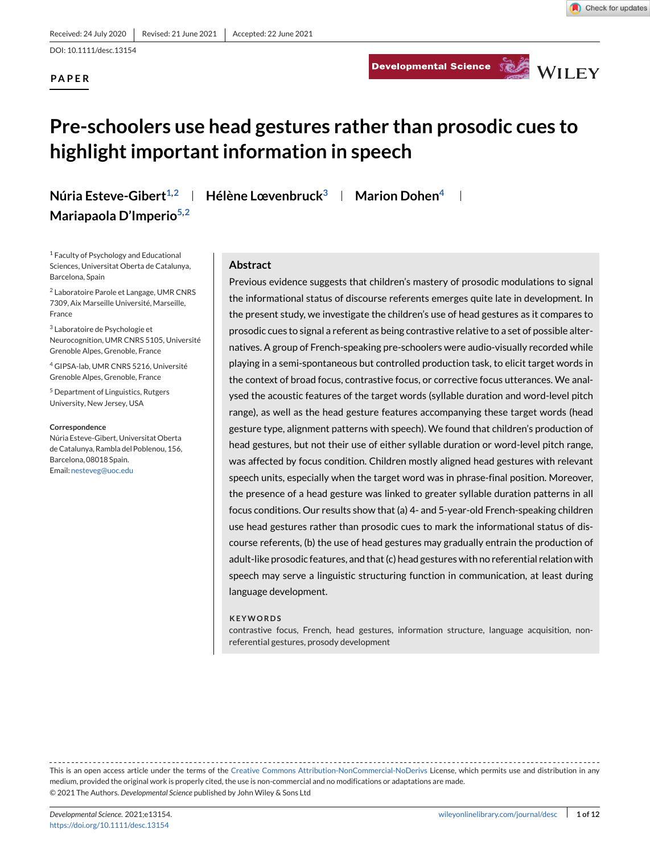# **PAPER**

Developmental Science Service WILEY



# **Pre-schoolers use head gestures rather than prosodic cues to highlight important information in speech**

**Mariapaola D'Imperio5,2**

**Núria Esteve-Gibert<sup>1,2</sup> | Hélène Lœvenbruck<sup>3</sup> | Marion Dohen<sup>4</sup> |** 

<sup>1</sup> Faculty of Psychology and Educational Sciences, Universitat Oberta de Catalunya, Barcelona, Spain

<sup>2</sup> Laboratoire Parole et Langage, UMR CNRS 7309, Aix Marseille Université, Marseille, France

<sup>3</sup> Laboratoire de Psychologie et Neurocognition, UMR CNRS 5105, Université Grenoble Alpes, Grenoble, France

<sup>4</sup> GIPSA-lab, UMR CNRS 5216, Université Grenoble Alpes, Grenoble, France

<sup>5</sup> Department of Linguistics, Rutgers University, New Jersey, USA

#### **Correspondence**

Núria Esteve-Gibert, Universitat Oberta de Catalunya, Rambla del Poblenou, 156, Barcelona, 08018 Spain. Email: [nesteveg@uoc.edu](mailto:nesteveg@uoc.edu)

#### **Abstract**

Previous evidence suggests that children's mastery of prosodic modulations to signal the informational status of discourse referents emerges quite late in development. In the present study, we investigate the children's use of head gestures as it compares to prosodic cues to signal a referent as being contrastive relative to a set of possible alternatives. A group of French-speaking pre-schoolers were audio-visually recorded while playing in a semi-spontaneous but controlled production task, to elicit target words in the context of broad focus, contrastive focus, or corrective focus utterances. We analysed the acoustic features of the target words (syllable duration and word-level pitch range), as well as the head gesture features accompanying these target words (head gesture type, alignment patterns with speech). We found that children's production of head gestures, but not their use of either syllable duration or word-level pitch range, was affected by focus condition. Children mostly aligned head gestures with relevant speech units, especially when the target word was in phrase-final position. Moreover, the presence of a head gesture was linked to greater syllable duration patterns in all focus conditions. Our results show that (a) 4- and 5-year-old French-speaking children use head gestures rather than prosodic cues to mark the informational status of discourse referents, (b) the use of head gestures may gradually entrain the production of adult-like prosodic features, and that (c) head gestures with no referential relation with speech may serve a linguistic structuring function in communication, at least during language development.

#### **KEYWORDS**

contrastive focus, French, head gestures, information structure, language acquisition, nonreferential gestures, prosody development

This is an open access article under the terms of the [Creative Commons Attribution-NonCommercial-NoDerivs](http://creativecommons.org/licenses/by-nc-nd/4.0/) License, which permits use and distribution in any medium, provided the original work is properly cited, the use is non-commercial and no modifications or adaptations are made. © 2021 The Authors. *Developmental Science* published by John Wiley & Sons Ltd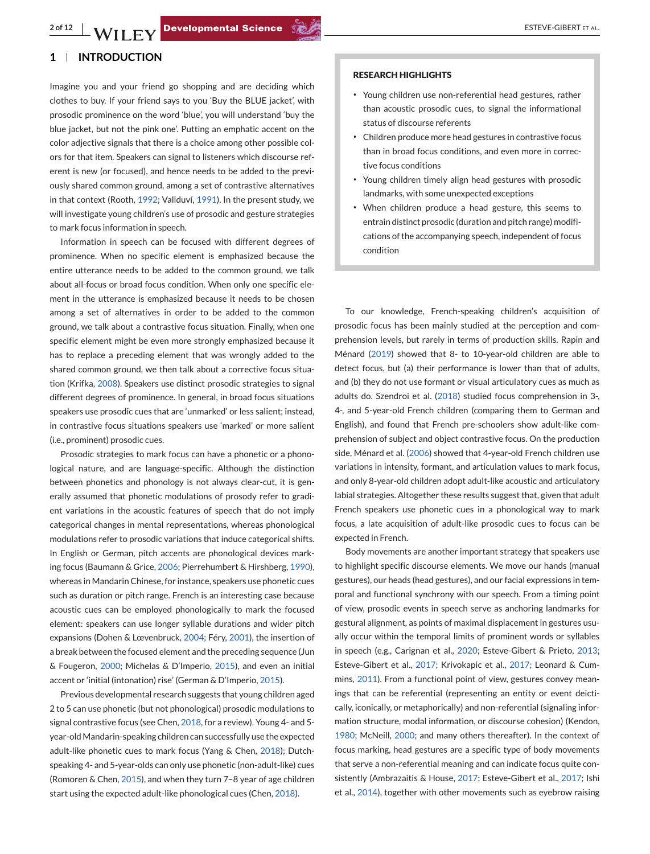# **1 INTRODUCTION**

Imagine you and your friend go shopping and are deciding which clothes to buy. If your friend says to you 'Buy the BLUE jacket', with prosodic prominence on the word 'blue', you will understand 'buy the blue jacket, but not the pink one'. Putting an emphatic accent on the color adjective signals that there is a choice among other possible colors for that item. Speakers can signal to listeners which discourse referent is new (or focused), and hence needs to be added to the previously shared common ground, among a set of contrastive alternatives in that context (Rooth, 1992; Vallduví, 1991). In the present study, we will investigate young children's use of prosodic and gesture strategies to mark focus information in speech.

Information in speech can be focused with different degrees of prominence. When no specific element is emphasized because the entire utterance needs to be added to the common ground, we talk about all-focus or broad focus condition. When only one specific element in the utterance is emphasized because it needs to be chosen among a set of alternatives in order to be added to the common ground, we talk about a contrastive focus situation. Finally, when one specific element might be even more strongly emphasized because it has to replace a preceding element that was wrongly added to the shared common ground, we then talk about a corrective focus situation (Krifka, 2008). Speakers use distinct prosodic strategies to signal different degrees of prominence. In general, in broad focus situations speakers use prosodic cues that are 'unmarked' or less salient; instead, in contrastive focus situations speakers use 'marked' or more salient (i.e., prominent) prosodic cues.

Prosodic strategies to mark focus can have a phonetic or a phonological nature, and are language-specific. Although the distinction between phonetics and phonology is not always clear-cut, it is generally assumed that phonetic modulations of prosody refer to gradient variations in the acoustic features of speech that do not imply categorical changes in mental representations, whereas phonological modulations refer to prosodic variations that induce categorical shifts. In English or German, pitch accents are phonological devices marking focus (Baumann & Grice, 2006; Pierrehumbert & Hirshberg, 1990), whereas in Mandarin Chinese, for instance, speakers use phonetic cues such as duration or pitch range. French is an interesting case because acoustic cues can be employed phonologically to mark the focused element: speakers can use longer syllable durations and wider pitch expansions (Dohen & Lœvenbruck, 2004; Féry, 2001), the insertion of a break between the focused element and the preceding sequence (Jun & Fougeron, 2000; Michelas & D'Imperio, 2015), and even an initial accent or 'initial (intonation) rise' (German & D'Imperio, 2015).

Previous developmental research suggests that young children aged 2 to 5 can use phonetic (but not phonological) prosodic modulations to signal contrastive focus (see Chen, 2018, for a review). Young 4- and 5 year-old Mandarin-speaking children can successfully use the expected adult-like phonetic cues to mark focus (Yang & Chen, 2018); Dutchspeaking 4- and 5-year-olds can only use phonetic (non-adult-like) cues (Romoren & Chen, 2015), and when they turn 7–8 year of age children start using the expected adult-like phonological cues (Chen, 2018).

#### **RESEARCH HIGHLIGHTS**

- ∙ Young children use non-referential head gestures, rather than acoustic prosodic cues, to signal the informational status of discourse referents
- ∙ Children produce more head gestures in contrastive focus than in broad focus conditions, and even more in corrective focus conditions
- ∙ Young children timely align head gestures with prosodic landmarks, with some unexpected exceptions
- ∙ When children produce a head gesture, this seems to entrain distinct prosodic (duration and pitch range) modifications of the accompanying speech, independent of focus condition

To our knowledge, French-speaking children's acquisition of prosodic focus has been mainly studied at the perception and comprehension levels, but rarely in terms of production skills. Rapin and Ménard (2019) showed that 8- to 10-year-old children are able to detect focus, but (a) their performance is lower than that of adults, and (b) they do not use formant or visual articulatory cues as much as adults do. Szendroi et al. (2018) studied focus comprehension in 3-, 4-, and 5-year-old French children (comparing them to German and English), and found that French pre-schoolers show adult-like comprehension of subject and object contrastive focus. On the production side, Ménard et al. (2006) showed that 4-year-old French children use variations in intensity, formant, and articulation values to mark focus, and only 8-year-old children adopt adult-like acoustic and articulatory labial strategies. Altogether these results suggest that, given that adult French speakers use phonetic cues in a phonological way to mark focus, a late acquisition of adult-like prosodic cues to focus can be expected in French.

Body movements are another important strategy that speakers use to highlight specific discourse elements. We move our hands (manual gestures), our heads (head gestures), and our facial expressions in temporal and functional synchrony with our speech. From a timing point of view, prosodic events in speech serve as anchoring landmarks for gestural alignment, as points of maximal displacement in gestures usually occur within the temporal limits of prominent words or syllables in speech (e.g., Carignan et al., 2020; Esteve-Gibert & Prieto, 2013; Esteve-Gibert et al., 2017; Krivokapic et al., 2017; Leonard & Cummins, 2011). From a functional point of view, gestures convey meanings that can be referential (representing an entity or event deictically, iconically, or metaphorically) and non-referential (signaling information structure, modal information, or discourse cohesion) (Kendon, 1980; McNeill, 2000; and many others thereafter). In the context of focus marking, head gestures are a specific type of body movements that serve a non-referential meaning and can indicate focus quite consistently (Ambrazaitis & House, 2017; Esteve-Gibert et al., 2017; Ishi et al., 2014), together with other movements such as eyebrow raising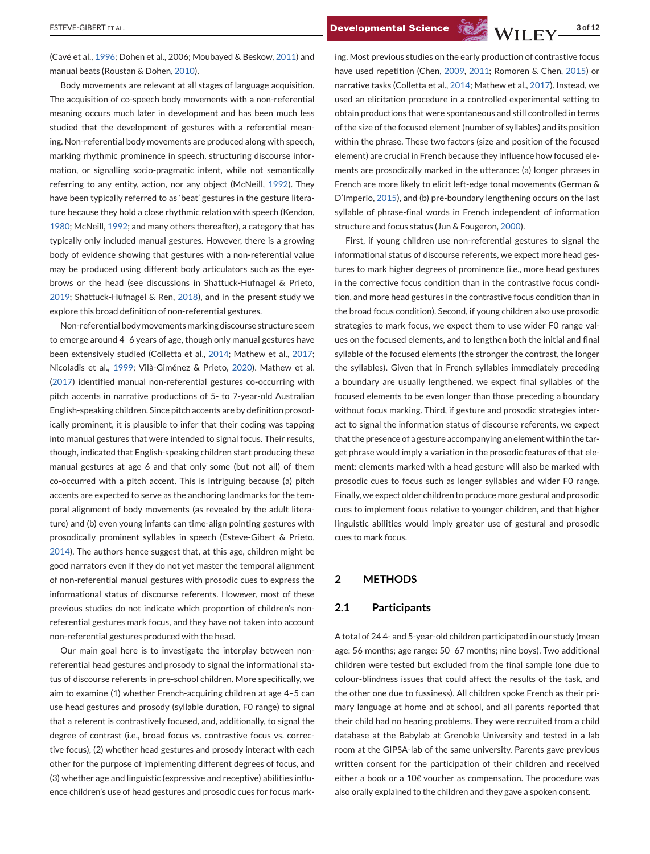(Cavé et al., 1996; Dohen et al., 2006; Moubayed & Beskow, 2011) and manual beats (Roustan & Dohen, 2010).

Body movements are relevant at all stages of language acquisition. The acquisition of co-speech body movements with a non-referential meaning occurs much later in development and has been much less studied that the development of gestures with a referential meaning. Non-referential body movements are produced along with speech, marking rhythmic prominence in speech, structuring discourse information, or signalling socio-pragmatic intent, while not semantically referring to any entity, action, nor any object (McNeill, 1992). They have been typically referred to as 'beat' gestures in the gesture literature because they hold a close rhythmic relation with speech (Kendon, 1980; McNeill, 1992; and many others thereafter), a category that has typically only included manual gestures. However, there is a growing body of evidence showing that gestures with a non-referential value may be produced using different body articulators such as the eyebrows or the head (see discussions in Shattuck-Hufnagel & Prieto, 2019; Shattuck-Hufnagel & Ren, 2018), and in the present study we explore this broad definition of non-referential gestures.

Non-referential body movements marking discourse structure seem to emerge around 4–6 years of age, though only manual gestures have been extensively studied (Colletta et al., 2014; Mathew et al., 2017; Nicoladis et al., 1999; Vilà-Giménez & Prieto, 2020). Mathew et al. (2017) identified manual non-referential gestures co-occurring with pitch accents in narrative productions of 5- to 7-year-old Australian English-speaking children. Since pitch accents are by definition prosodically prominent, it is plausible to infer that their coding was tapping into manual gestures that were intended to signal focus. Their results, though, indicated that English-speaking children start producing these manual gestures at age 6 and that only some (but not all) of them co-occurred with a pitch accent. This is intriguing because (a) pitch accents are expected to serve as the anchoring landmarks for the temporal alignment of body movements (as revealed by the adult literature) and (b) even young infants can time-align pointing gestures with prosodically prominent syllables in speech (Esteve-Gibert & Prieto, 2014). The authors hence suggest that, at this age, children might be good narrators even if they do not yet master the temporal alignment of non-referential manual gestures with prosodic cues to express the informational status of discourse referents. However, most of these previous studies do not indicate which proportion of children's nonreferential gestures mark focus, and they have not taken into account non-referential gestures produced with the head.

Our main goal here is to investigate the interplay between nonreferential head gestures and prosody to signal the informational status of discourse referents in pre-school children. More specifically, we aim to examine (1) whether French-acquiring children at age 4–5 can use head gestures and prosody (syllable duration, F0 range) to signal that a referent is contrastively focused, and, additionally, to signal the degree of contrast (i.e., broad focus vs. contrastive focus vs. corrective focus), (2) whether head gestures and prosody interact with each other for the purpose of implementing different degrees of focus, and (3) whether age and linguistic (expressive and receptive) abilities influence children's use of head gestures and prosodic cues for focus mark-

ing. Most previous studies on the early production of contrastive focus have used repetition (Chen, 2009, 2011; Romoren & Chen, 2015) or narrative tasks (Colletta et al., 2014; Mathew et al., 2017). Instead, we used an elicitation procedure in a controlled experimental setting to obtain productions that were spontaneous and still controlled in terms of the size of the focused element (number of syllables) and its position within the phrase. These two factors (size and position of the focused element) are crucial in French because they influence how focused elements are prosodically marked in the utterance: (a) longer phrases in French are more likely to elicit left-edge tonal movements (German & D'Imperio, 2015), and (b) pre-boundary lengthening occurs on the last syllable of phrase-final words in French independent of information structure and focus status (Jun & Fougeron, 2000).

First, if young children use non-referential gestures to signal the informational status of discourse referents, we expect more head gestures to mark higher degrees of prominence (i.e., more head gestures in the corrective focus condition than in the contrastive focus condition, and more head gestures in the contrastive focus condition than in the broad focus condition). Second, if young children also use prosodic strategies to mark focus, we expect them to use wider F0 range values on the focused elements, and to lengthen both the initial and final syllable of the focused elements (the stronger the contrast, the longer the syllables). Given that in French syllables immediately preceding a boundary are usually lengthened, we expect final syllables of the focused elements to be even longer than those preceding a boundary without focus marking. Third, if gesture and prosodic strategies interact to signal the information status of discourse referents, we expect that the presence of a gesture accompanying an element within the target phrase would imply a variation in the prosodic features of that element: elements marked with a head gesture will also be marked with prosodic cues to focus such as longer syllables and wider F0 range. Finally, we expect older children to produce more gestural and prosodic cues to implement focus relative to younger children, and that higher linguistic abilities would imply greater use of gestural and prosodic cues to mark focus.

# **2 METHODS**

#### **2.1 Participants**

A total of 24 4- and 5-year-old children participated in our study (mean age: 56 months; age range: 50–67 months; nine boys). Two additional children were tested but excluded from the final sample (one due to colour-blindness issues that could affect the results of the task, and the other one due to fussiness). All children spoke French as their primary language at home and at school, and all parents reported that their child had no hearing problems. They were recruited from a child database at the Babylab at Grenoble University and tested in a lab room at the GIPSA-lab of the same university. Parents gave previous written consent for the participation of their children and received either a book or a 10€ voucher as compensation. The procedure was also orally explained to the children and they gave a spoken consent.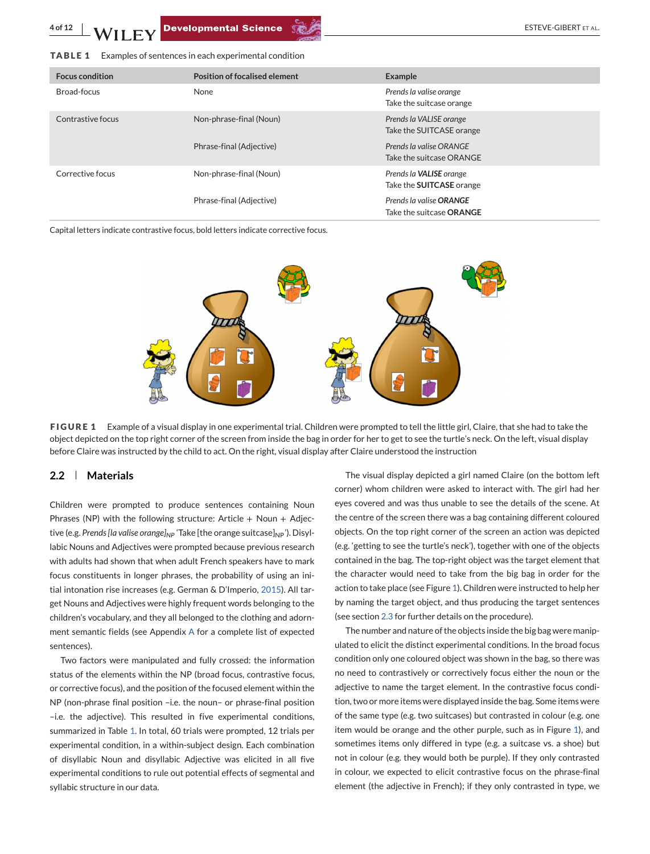

#### **TABLE 1** Examples of sentences in each experimental condition

| <b>Focus condition</b> | <b>Position of focalised element</b> | <b>Example</b>                                                    |
|------------------------|--------------------------------------|-------------------------------------------------------------------|
| Broad-focus            | None                                 | Prends la valise orange<br>Take the suitcase orange               |
| Contrastive focus      | Non-phrase-final (Noun)              | Prends la VALISE orange<br>Take the SUITCASE orange               |
|                        | Phrase-final (Adjective)             | Prends la valise ORANGE<br>Take the suitcase ORANGE               |
| Corrective focus       | Non-phrase-final (Noun)              | Prends la <b>VALISE</b> orange<br>Take the <b>SUITCASE</b> orange |
|                        | Phrase-final (Adjective)             | Prends la valise <b>ORANGE</b><br>Take the suitcase <b>ORANGE</b> |

Capital letters indicate contrastive focus, bold letters indicate corrective focus.



**FIGURE 1** Example of a visual display in one experimental trial. Children were prompted to tell the little girl, Claire, that she had to take the object depicted on the top right corner of the screen from inside the bag in order for her to get to see the turtle's neck. On the left, visual display before Claire was instructed by the child to act. On the right, visual display after Claire understood the instruction

#### **2.2 Materials**

Children were prompted to produce sentences containing Noun Phrases (NP) with the following structure: Article  $+$  Noun  $+$  Adjective (e.g. Prends [la valise orange]<sub>NP</sub> 'Take [the orange suitcase]<sub>NP</sub>'). Disyllabic Nouns and Adjectives were prompted because previous research with adults had shown that when adult French speakers have to mark focus constituents in longer phrases, the probability of using an initial intonation rise increases (e.g. German & D'Imperio, 2015). All target Nouns and Adjectives were highly frequent words belonging to the children's vocabulary, and they all belonged to the clothing and adornment semantic fields (see Appendix A for a complete list of expected sentences).

Two factors were manipulated and fully crossed: the information status of the elements within the NP (broad focus, contrastive focus, or corrective focus), and the position of the focused element within the NP (non-phrase final position –i.e. the noun– or phrase-final position –i.e. the adjective). This resulted in five experimental conditions, summarized in Table 1. In total, 60 trials were prompted, 12 trials per experimental condition, in a within-subject design. Each combination of disyllabic Noun and disyllabic Adjective was elicited in all five experimental conditions to rule out potential effects of segmental and syllabic structure in our data.

The visual display depicted a girl named Claire (on the bottom left corner) whom children were asked to interact with. The girl had her eyes covered and was thus unable to see the details of the scene. At the centre of the screen there was a bag containing different coloured objects. On the top right corner of the screen an action was depicted (e.g. 'getting to see the turtle's neck'), together with one of the objects contained in the bag. The top-right object was the target element that the character would need to take from the big bag in order for the action to take place (see Figure 1). Children were instructed to help her by naming the target object, and thus producing the target sentences (see section 2.3 for further details on the procedure).

The number and nature of the objects inside the big bag were manipulated to elicit the distinct experimental conditions. In the broad focus condition only one coloured object was shown in the bag, so there was no need to contrastively or correctively focus either the noun or the adjective to name the target element. In the contrastive focus condition, two or more items were displayed inside the bag. Some items were of the same type (e.g. two suitcases) but contrasted in colour (e.g. one item would be orange and the other purple, such as in Figure 1), and sometimes items only differed in type (e.g. a suitcase vs. a shoe) but not in colour (e.g. they would both be purple). If they only contrasted in colour, we expected to elicit contrastive focus on the phrase-final element (the adjective in French); if they only contrasted in type, we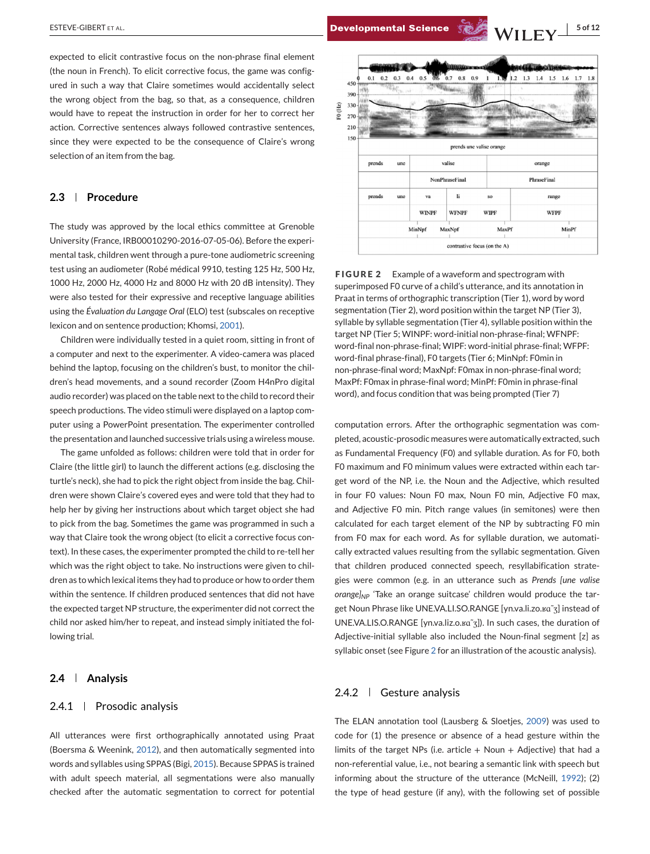ESTEVE-GIBERT ET AL. **Sof 12**<br>**Developmental Science** WII FY 5 of 12

expected to elicit contrastive focus on the non-phrase final element (the noun in French). To elicit corrective focus, the game was configured in such a way that Claire sometimes would accidentally select the wrong object from the bag, so that, as a consequence, children would have to repeat the instruction in order for her to correct her action. Corrective sentences always followed contrastive sentences, since they were expected to be the consequence of Claire's wrong selection of an item from the bag.

## **2.3 Procedure**

The study was approved by the local ethics committee at Grenoble University (France, IRB00010290-2016-07-05-06). Before the experimental task, children went through a pure-tone audiometric screening test using an audiometer (Robé médical 9910, testing 125 Hz, 500 Hz, 1000 Hz, 2000 Hz, 4000 Hz and 8000 Hz with 20 dB intensity). They were also tested for their expressive and receptive language abilities using the *Évaluation du Langage Oral* (ELO) test (subscales on receptive lexicon and on sentence production; Khomsi, 2001).

Children were individually tested in a quiet room, sitting in front of a computer and next to the experimenter. A video-camera was placed behind the laptop, focusing on the children's bust, to monitor the children's head movements, and a sound recorder (Zoom H4nPro digital audio recorder) was placed on the table next to the child to record their speech productions. The video stimuli were displayed on a laptop computer using a PowerPoint presentation. The experimenter controlled the presentation and launched successive trials using a wireless mouse.

The game unfolded as follows: children were told that in order for Claire (the little girl) to launch the different actions (e.g. disclosing the turtle's neck), she had to pick the right object from inside the bag. Children were shown Claire's covered eyes and were told that they had to help her by giving her instructions about which target object she had to pick from the bag. Sometimes the game was programmed in such a way that Claire took the wrong object (to elicit a corrective focus context). In these cases, the experimenter prompted the child to re-tell her which was the right object to take. No instructions were given to children as to which lexical items they had to produce or how to order them within the sentence. If children produced sentences that did not have the expected target NP structure, the experimenter did not correct the child nor asked him/her to repeat, and instead simply initiated the following trial.

# **2.4 Analysis**

#### 2.4.1 | Prosodic analysis

All utterances were first orthographically annotated using Praat (Boersma & Weenink, 2012), and then automatically segmented into words and syllables using SPPAS (Bigi, 2015). Because SPPAS is trained with adult speech material, all segmentations were also manually checked after the automatic segmentation to correct for potential



**FIGURE 2** Example of a waveform and spectrogram with superimposed F0 curve of a child's utterance, and its annotation in Praat in terms of orthographic transcription (Tier 1), word by word segmentation (Tier 2), word position within the target NP (Tier 3), syllable by syllable segmentation (Tier 4), syllable position within the target NP (Tier 5; WINPF: word-initial non-phrase-final; WFNPF: word-final non-phrase-final; WIPF: word-initial phrase-final; WFPF: word-final phrase-final), F0 targets (Tier 6; MinNpf: F0min in non-phrase-final word; MaxNpf: F0max in non-phrase-final word; MaxPf: F0max in phrase-final word; MinPf: F0min in phrase-final word), and focus condition that was being prompted (Tier 7)

computation errors. After the orthographic segmentation was completed, acoustic-prosodic measures were automatically extracted, such as Fundamental Frequency (F0) and syllable duration. As for F0, both F0 maximum and F0 minimum values were extracted within each target word of the NP, i.e. the Noun and the Adjective, which resulted in four F0 values: Noun F0 max, Noun F0 min, Adjective F0 max, and Adjective F0 min. Pitch range values (in semitones) were then calculated for each target element of the NP by subtracting F0 min from F0 max for each word. As for syllable duration, we automatically extracted values resulting from the syllabic segmentation. Given that children produced connected speech, resyllabification strategies were common (e.g. in an utterance such as *Prends [une valise orange]<sub>NP</sub>* 'Take an orange suitcase' children would produce the target Noun Phrase like UNE.VA.LI.SO.RANGE [yn.va.li.zo.ʁɑ˜ʒ] instead of UNE.VA.LIS.O.RANGE [yn.va.liz.o.ʁɑ˜ʒ]). In such cases, the duration of Adjective-initial syllable also included the Noun-final segment [z] as syllabic onset (see Figure 2 for an illustration of the acoustic analysis).

#### 2.4.2 | Gesture analysis

The ELAN annotation tool (Lausberg & Sloetjes, 2009) was used to code for (1) the presence or absence of a head gesture within the limits of the target NPs (i.e. article  $+$  Noun  $+$  Adjective) that had a non-referential value, i.e., not bearing a semantic link with speech but informing about the structure of the utterance (McNeill, 1992); (2) the type of head gesture (if any), with the following set of possible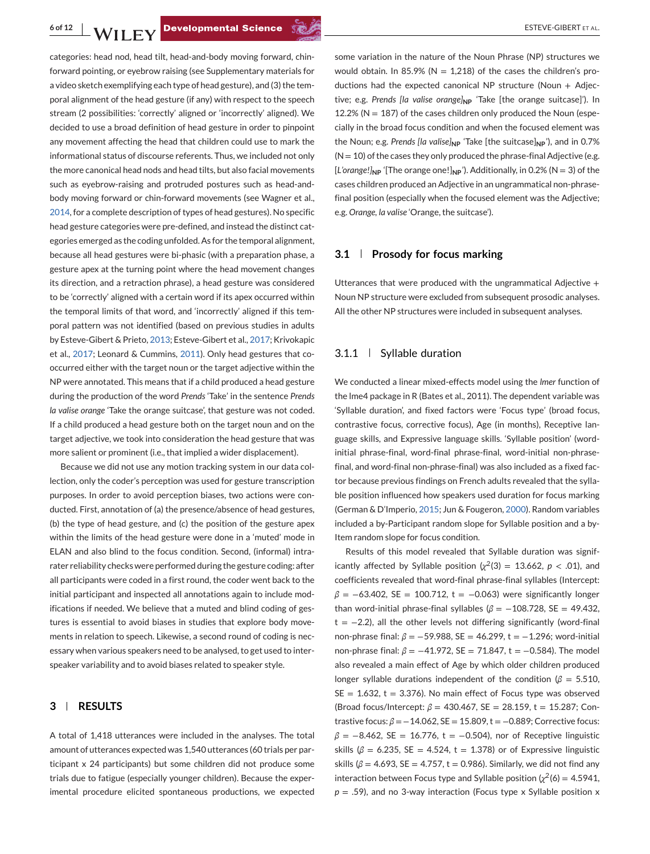categories: head nod, head tilt, head-and-body moving forward, chinforward pointing, or eyebrow raising (see Supplementary materials for a video sketch exemplifying each type of head gesture), and (3) the temporal alignment of the head gesture (if any) with respect to the speech stream (2 possibilities: 'correctly' aligned or 'incorrectly' aligned). We decided to use a broad definition of head gesture in order to pinpoint any movement affecting the head that children could use to mark the informational status of discourse referents. Thus, we included not only the more canonical head nods and head tilts, but also facial movements such as eyebrow-raising and protruded postures such as head-andbody moving forward or chin-forward movements (see Wagner et al., 2014, for a complete description of types of head gestures). No specific head gesture categories were pre-defined, and instead the distinct categories emerged as the coding unfolded. As for the temporal alignment, because all head gestures were bi-phasic (with a preparation phase, a gesture apex at the turning point where the head movement changes its direction, and a retraction phrase), a head gesture was considered to be 'correctly' aligned with a certain word if its apex occurred within the temporal limits of that word, and 'incorrectly' aligned if this temporal pattern was not identified (based on previous studies in adults by Esteve-Gibert & Prieto, 2013; Esteve-Gibert et al., 2017; Krivokapic et al., 2017; Leonard & Cummins, 2011). Only head gestures that cooccurred either with the target noun or the target adjective within the NP were annotated. This means that if a child produced a head gesture during the production of the word *Prends* 'Take' in the sentence *Prends la valise orange* 'Take the orange suitcase', that gesture was not coded. If a child produced a head gesture both on the target noun and on the target adjective, we took into consideration the head gesture that was more salient or prominent (i.e., that implied a wider displacement).

Because we did not use any motion tracking system in our data collection, only the coder's perception was used for gesture transcription purposes. In order to avoid perception biases, two actions were conducted. First, annotation of (a) the presence/absence of head gestures, (b) the type of head gesture, and (c) the position of the gesture apex within the limits of the head gesture were done in a 'muted' mode in ELAN and also blind to the focus condition. Second, (informal) intrarater reliability checks were performed during the gesture coding: after all participants were coded in a first round, the coder went back to the initial participant and inspected all annotations again to include modifications if needed. We believe that a muted and blind coding of gestures is essential to avoid biases in studies that explore body movements in relation to speech. Likewise, a second round of coding is necessary when various speakers need to be analysed, to get used to interspeaker variability and to avoid biases related to speaker style.

#### **3 RESULTS**

A total of 1,418 utterances were included in the analyses. The total amount of utterances expected was 1,540 utterances (60 trials per participant x 24 participants) but some children did not produce some trials due to fatigue (especially younger children). Because the experimental procedure elicited spontaneous productions, we expected

some variation in the nature of the Noun Phrase (NP) structures we would obtain. In 85.9% ( $N = 1,218$ ) of the cases the children's productions had the expected canonical NP structure (Noun + Adjective; e.g. Prends [la valise orange]<sub>NP</sub> 'Take [the orange suitcase]'). In 12.2% ( $N = 187$ ) of the cases children only produced the Noun (especially in the broad focus condition and when the focused element was the Noun; e.g. *Prends [la valise]*<sub>NP</sub> 'Take [the suitcase]<sub>NP</sub>'), and in 0.7%  $(N = 10)$  of the cases they only produced the phrase-final Adjective (e.g. [*L'orange!]* $_{NP}$  '[The orange one!] $_{NP}$ '). Additionally, in 0.2% (N = 3) of the cases children produced an Adjective in an ungrammatical non-phrasefinal position (especially when the focused element was the Adjective; e.g. *Orange, la valise* 'Orange, the suitcase').

#### **3.1 Prosody for focus marking**

Utterances that were produced with the ungrammatical Adjective + Noun NP structure were excluded from subsequent prosodic analyses. All the other NP structures were included in subsequent analyses.

### 3.1.1 Syllable duration

We conducted a linear mixed-effects model using the *lmer* function of the lme4 package in R (Bates et al., 2011). The dependent variable was 'Syllable duration', and fixed factors were 'Focus type' (broad focus, contrastive focus, corrective focus), Age (in months), Receptive language skills, and Expressive language skills. 'Syllable position' (wordinitial phrase-final, word-final phrase-final, word-initial non-phrasefinal, and word-final non-phrase-final) was also included as a fixed factor because previous findings on French adults revealed that the syllable position influenced how speakers used duration for focus marking (German & D'Imperio, 2015; Jun & Fougeron, 2000). Random variables included a by-Participant random slope for Syllable position and a by-Item random slope for focus condition.

Results of this model revealed that Syllable duration was significantly affected by Syllable position  $\left(\chi^2(3) = 13.662, p < .01\right)$ , and coefficients revealed that word-final phrase-final syllables (Intercept:  $\beta = -63.402$ , SE = 100.712, t = -0.063) were significantly longer than word-initial phrase-final syllables ( $\beta$  = -108.728, SE = 49.432, t = −2.2), all the other levels not differing significantly (word-final non-phrase final: *β* = −59.988, SE = 46.299, t = −1.296; word-initial non-phrase final: *β* = −41.972, SE = 71.847, t = −0.584). The model also revealed a main effect of Age by which older children produced longer syllable durations independent of the condition (*β* = 5.510,  $SE = 1.632$ ,  $t = 3.376$ ). No main effect of Focus type was observed (Broad focus/Intercept: *β* = 430.467, SE = 28.159, t = 15.287; Contrastive focus: *β* = −14.062, SE = 15.809, t = −0.889; Corrective focus:  $\beta$  = -8.462, SE = 16.776, t = -0.504), nor of Receptive linguistic skills ( $β = 6.235$ , SE = 4.524, t = 1.378) or of Expressive linguistic skills ( $\beta$  = 4.693, SE = 4.757, t = 0.986). Similarly, we did not find any interaction between Focus type and Syllable position  $\chi^2$ (6) = 4.5941, *p* = .59), and no 3-way interaction (Focus type x Syllable position x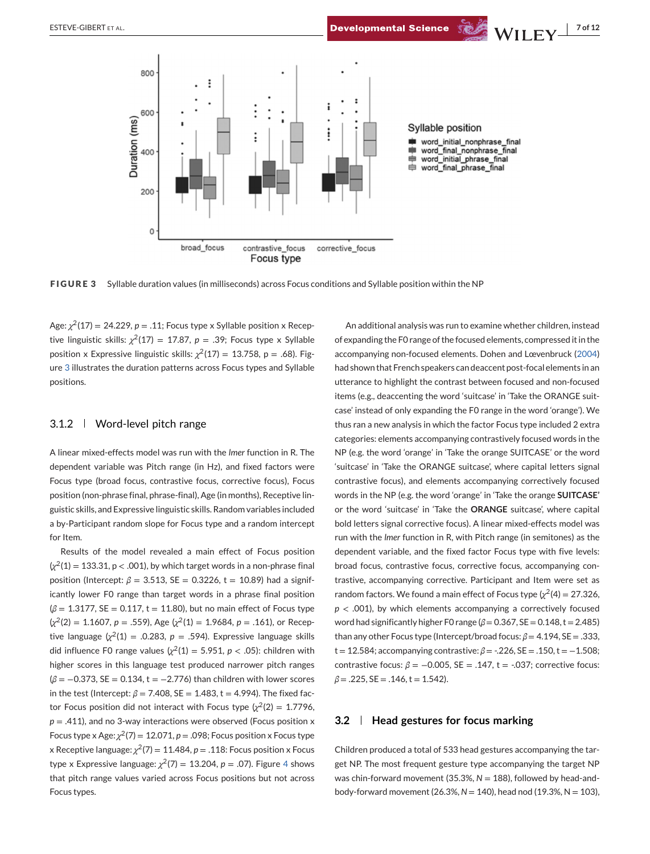ESTEVE-GIBERT ET AL. **7 of 12**<br>**Developmental Science**  $\sqrt[3]{\mathbf{W}}$  **| FY**  $\frac{1}{2}$  of 12



**FIGURE 3** Syllable duration values (in milliseconds) across Focus conditions and Syllable position within the NP

Age:  $\chi^2(17) = 24.229$ ,  $p = .11$ ; Focus type x Syllable position x Receptive linguistic skills:  $\chi^2(17) = 17.87$ ,  $p = .39$ ; Focus type x Syllable position x Expressive linguistic skills:  $\chi^2(17) = 13.758$ , p = .68). Figure 3 illustrates the duration patterns across Focus types and Syllable positions.

#### 3.1.2 Word-level pitch range

A linear mixed-effects model was run with the *lmer* function in R. The dependent variable was Pitch range (in Hz), and fixed factors were Focus type (broad focus, contrastive focus, corrective focus), Focus position (non-phrase final, phrase-final), Age (in months), Receptive linguistic skills, and Expressive linguistic skills. Random variables included a by-Participant random slope for Focus type and a random intercept for Item.

Results of the model revealed a main effect of Focus position  $\left(\chi^2(1) = 133.31, p < .001\right)$ , by which target words in a non-phrase final position (Intercept:  $β = 3.513$ , SE = 0.3226, t = 10.89) had a significantly lower F0 range than target words in a phrase final position  $(\beta = 1.3177, SE = 0.117, t = 11.80)$ , but no main effect of Focus type  $\left(\chi^2(2) = 1.1607, p = .559\right)$ , Age  $\left(\chi^2(1) = 1.9684, p = .161\right)$ , or Receptive language  $(y^2(1) = .0.283, p = .594)$ . Expressive language skills did influence F0 range values  $\left(\chi^2(1) = 5.951, p < .05\right)$ : children with higher scores in this language test produced narrower pitch ranges (*β* = −0.373, SE = 0.134, t = −2.776) than children with lower scores in the test (Intercept:  $\beta = 7.408$ , SE = 1.483, t = 4.994). The fixed factor Focus position did not interact with Focus type  $(\chi^2(2) = 1.7796,$  $p = .411$ ), and no 3-way interactions were observed (Focus position x Focus type x Age:  $\chi^2(7) = 12.071$ ,  $p = .098$ ; Focus position x Focus type x Receptive language:  $\chi^2(7) = 11.484$ ,  $p = .118$ : Focus position x Focus type x Expressive language:  $\chi^2(7) = 13.204$ ,  $p = .07$ ). Figure 4 shows that pitch range values varied across Focus positions but not across Focus types.

An additional analysis was run to examine whether children, instead of expanding the F0 range of the focused elements, compressed it in the accompanying non-focused elements. Dohen and Lœvenbruck (2004) had shown that French speakers can deaccent post-focal elements in an utterance to highlight the contrast between focused and non-focused items (e.g., deaccenting the word 'suitcase' in 'Take the ORANGE suitcase' instead of only expanding the F0 range in the word 'orange'). We thus ran a new analysis in which the factor Focus type included 2 extra categories: elements accompanying contrastively focused words in the NP (e.g. the word 'orange' in 'Take the orange SUITCASE' or the word 'suitcase' in 'Take the ORANGE suitcase', where capital letters signal contrastive focus), and elements accompanying correctively focused words in the NP (e.g. the word 'orange' in 'Take the orange **SUITCASE'** or the word 'suitcase' in 'Take the **ORANGE** suitcase', where capital bold letters signal corrective focus). A linear mixed-effects model was run with the *lmer* function in R, with Pitch range (in semitones) as the dependent variable, and the fixed factor Focus type with five levels: broad focus, contrastive focus, corrective focus, accompanying contrastive, accompanying corrective. Participant and Item were set as random factors. We found a main effect of Focus type  $\left(\chi^2(4) = 27.326\right)$ , *p* < .001), by which elements accompanying a correctively focused word had significantly higher F0 range (*β* = 0.367, SE = 0.148, t = 2.485) than any other Focus type (Intercept/broad focus:  $β = 4.194$ , SE = .333, t = 12.584; accompanying contrastive: *β* = -.226, SE = .150, t = −1.508; contrastive focus:  $β = -0.005$ ,  $SE = .147$ ,  $t = -.037$ ; corrective focus:  $\beta$  = .225, SE = .146, t = 1.542).

### **3.2 Head gestures for focus marking**

Children produced a total of 533 head gestures accompanying the target NP. The most frequent gesture type accompanying the target NP was chin-forward movement (35.3%,  $N = 188$ ), followed by head-andbody-forward movement (26.3%, *N* = 140), head nod (19.3%, N = 103),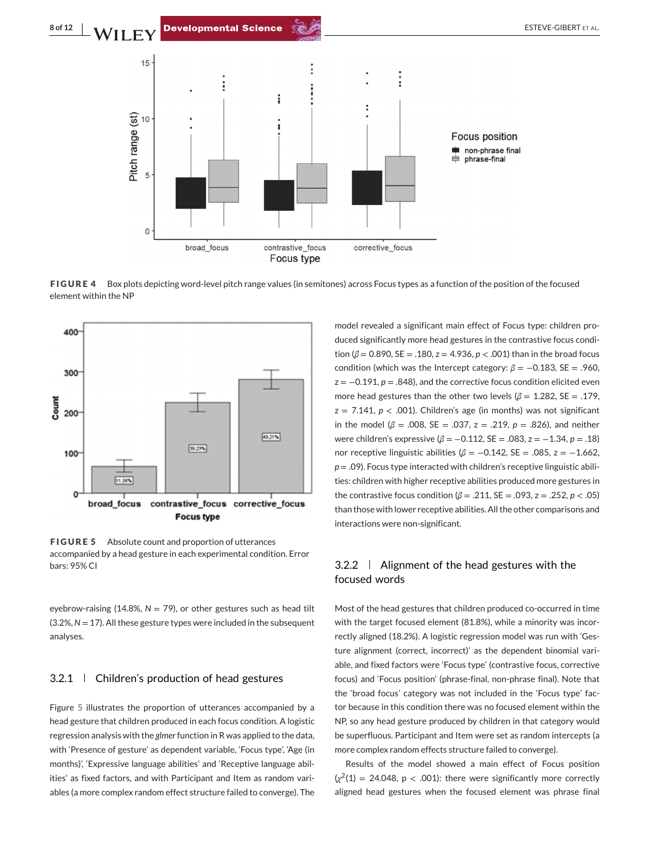

Focus type

**FIGURE 4** Box plots depicting word-level pitch range values (in semitones) across Focus types as a function of the position of the focused element within the NP



**FIGURE 5** Absolute count and proportion of utterances accompanied by a head gesture in each experimental condition. Error bars: 95% CI

eyebrow-raising (14.8%,  $N = 79$ ), or other gestures such as head tilt (3.2%,*N* = 17). All these gesture types were included in the subsequent analyses.

## 3.2.1 | Children's production of head gestures

Figure 5 illustrates the proportion of utterances accompanied by a head gesture that children produced in each focus condition. A logistic regression analysis with the *glmer* function in R was applied to the data, with 'Presence of gesture' as dependent variable, 'Focus type', 'Age (in months)', 'Expressive language abilities' and 'Receptive language abilities' as fixed factors, and with Participant and Item as random variables (a more complex random effect structure failed to converge). The

model revealed a significant main effect of Focus type: children produced significantly more head gestures in the contrastive focus condition (*β* = 0.890, SE = .180, z = 4.936, *p* < .001) than in the broad focus condition (which was the Intercept category:  $\beta = -0.183$ , SE = .960, z = −0.191, *p* = .848), and the corrective focus condition elicited even more head gestures than the other two levels ( $\beta = 1.282$ , SE = .179,  $z = 7.141$ ,  $p < .001$ ). Children's age (in months) was not significant in the model ( $β = .008$ , SE = .037, z = .219, p = .826), and neither were children's expressive (*β* = −0.112, SE = .083, z = −1.34, *p* = .18) nor receptive linguistic abilities (*β* = −0.142, SE = .085, z = −1.662,  $p = .09$ ). Focus type interacted with children's receptive linguistic abilities: children with higher receptive abilities produced more gestures in the contrastive focus condition ( $\beta$  = .211, SE = .093, z = .252,  $p < .05$ ) than those with lower receptive abilities. All the other comparisons and interactions were non-significant.

# $3.2.2$  | Alignment of the head gestures with the focused words

Most of the head gestures that children produced co-occurred in time with the target focused element (81.8%), while a minority was incorrectly aligned (18.2%). A logistic regression model was run with 'Gesture alignment (correct, incorrect)' as the dependent binomial variable, and fixed factors were 'Focus type' (contrastive focus, corrective focus) and 'Focus position' (phrase-final, non-phrase final). Note that the 'broad focus' category was not included in the 'Focus type' factor because in this condition there was no focused element within the NP, so any head gesture produced by children in that category would be superfluous. Participant and Item were set as random intercepts (a more complex random effects structure failed to converge).

Results of the model showed a main effect of Focus position  $\left(\chi^2(1) = 24.048, p < .001\right)$ : there were significantly more correctly aligned head gestures when the focused element was phrase final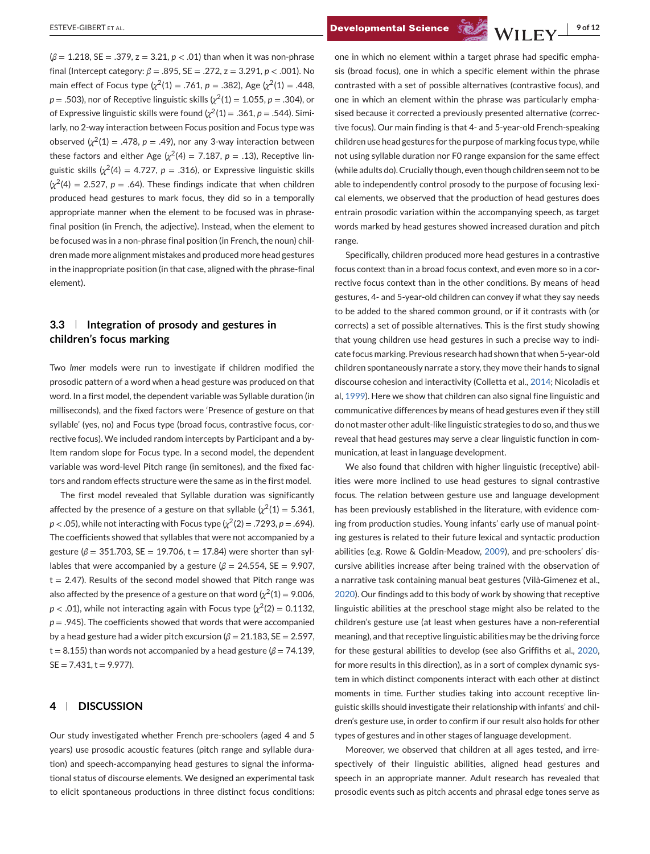(*β* = 1.218, SE = .379, z = 3.21, *p* < .01) than when it was non-phrase final (Intercept category: *β* = .895, SE = .272, z = 3.291, *p* < .001). No main effect of Focus type  $\left(\chi^2(1) = .761, p = .382\right)$ , Age  $\left(\chi^2(1) = .448, \right)$  $p = .503$ ), nor of Receptive linguistic skills  $(\chi^2(1) = 1.055, p = .304)$ , or of Expressive linguistic skills were found  $\left(\chi^2(1) = .361, p = .544\right)$ . Similarly, no 2-way interaction between Focus position and Focus type was observed  $\left(\chi^2(1) = .478, p = .49\right)$ , nor any 3-way interaction between these factors and either Age  $(y^2(4) = 7.187, p = .13)$ , Receptive linguistic skills  $\chi^2(4) = 4.727$ ,  $p = .316$ ), or Expressive linguistic skills  $\left(\chi^2(4) = 2.527, p = .64\right)$ . These findings indicate that when children produced head gestures to mark focus, they did so in a temporally appropriate manner when the element to be focused was in phrasefinal position (in French, the adjective). Instead, when the element to be focused was in a non-phrase final position (in French, the noun) children made more alignment mistakes and produced more head gestures in the inappropriate position (in that case, aligned with the phrase-final element).

# **3.3 Integration of prosody and gestures in children's focus marking**

Two *lmer* models were run to investigate if children modified the prosodic pattern of a word when a head gesture was produced on that word. In a first model, the dependent variable was Syllable duration (in milliseconds), and the fixed factors were 'Presence of gesture on that syllable' (yes, no) and Focus type (broad focus, contrastive focus, corrective focus). We included random intercepts by Participant and a by-Item random slope for Focus type. In a second model, the dependent variable was word-level Pitch range (in semitones), and the fixed factors and random effects structure were the same as in the first model.

The first model revealed that Syllable duration was significantly affected by the presence of a gesture on that syllable  $\chi^2(1) = 5.361$ ,  $p < .05$ ), while not interacting with Focus type  $(\chi^2(2) = .7293, p = .694)$ . The coefficients showed that syllables that were not accompanied by a gesture ( $β = 351.703$ ,  $SE = 19.706$ ,  $t = 17.84$ ) were shorter than syllables that were accompanied by a gesture ( $\beta$  = 24.554, SE = 9.907,  $t = 2.47$ ). Results of the second model showed that Pitch range was also affected by the presence of a gesture on that word  $(\chi^2(1) = 9.006,$  $p < .01$ ), while not interacting again with Focus type  $(\chi^2(2) = 0.1132)$ ,  $p = .945$ ). The coefficients showed that words that were accompanied by a head gesture had a wider pitch excursion ( $\beta$  = 21.183, SE = 2.597, t = 8.155) than words not accompanied by a head gesture ( $\beta$  = 74.139,  $SE = 7.431$ ,  $t = 9.977$ ).

### **4 DISCUSSION**

Our study investigated whether French pre-schoolers (aged 4 and 5 years) use prosodic acoustic features (pitch range and syllable duration) and speech-accompanying head gestures to signal the informational status of discourse elements. We designed an experimental task to elicit spontaneous productions in three distinct focus conditions: one in which no element within a target phrase had specific emphasis (broad focus), one in which a specific element within the phrase contrasted with a set of possible alternatives (contrastive focus), and one in which an element within the phrase was particularly emphasised because it corrected a previously presented alternative (corrective focus). Our main finding is that 4- and 5-year-old French-speaking children use head gestures for the purpose of marking focus type, while not using syllable duration nor F0 range expansion for the same effect (while adults do). Crucially though, even though children seem not to be able to independently control prosody to the purpose of focusing lexical elements, we observed that the production of head gestures does entrain prosodic variation within the accompanying speech, as target words marked by head gestures showed increased duration and pitch range.

Specifically, children produced more head gestures in a contrastive focus context than in a broad focus context, and even more so in a corrective focus context than in the other conditions. By means of head gestures, 4- and 5-year-old children can convey if what they say needs to be added to the shared common ground, or if it contrasts with (or corrects) a set of possible alternatives. This is the first study showing that young children use head gestures in such a precise way to indicate focus marking. Previous research had shown that when 5-year-old children spontaneously narrate a story, they move their hands to signal discourse cohesion and interactivity (Colletta et al., 2014; Nicoladis et al, 1999). Here we show that children can also signal fine linguistic and communicative differences by means of head gestures even if they still do not master other adult-like linguistic strategies to do so, and thus we reveal that head gestures may serve a clear linguistic function in communication, at least in language development.

We also found that children with higher linguistic (receptive) abilities were more inclined to use head gestures to signal contrastive focus. The relation between gesture use and language development has been previously established in the literature, with evidence coming from production studies. Young infants' early use of manual pointing gestures is related to their future lexical and syntactic production abilities (e.g. Rowe & Goldin-Meadow, 2009), and pre-schoolers' discursive abilities increase after being trained with the observation of a narrative task containing manual beat gestures (Vilà-Gimenez et al., 2020). Our findings add to this body of work by showing that receptive linguistic abilities at the preschool stage might also be related to the children's gesture use (at least when gestures have a non-referential meaning), and that receptive linguistic abilities may be the driving force for these gestural abilities to develop (see also Griffiths et al., 2020, for more results in this direction), as in a sort of complex dynamic system in which distinct components interact with each other at distinct moments in time. Further studies taking into account receptive linguistic skills should investigate their relationship with infants' and children's gesture use, in order to confirm if our result also holds for other types of gestures and in other stages of language development.

Moreover, we observed that children at all ages tested, and irrespectively of their linguistic abilities, aligned head gestures and speech in an appropriate manner. Adult research has revealed that prosodic events such as pitch accents and phrasal edge tones serve as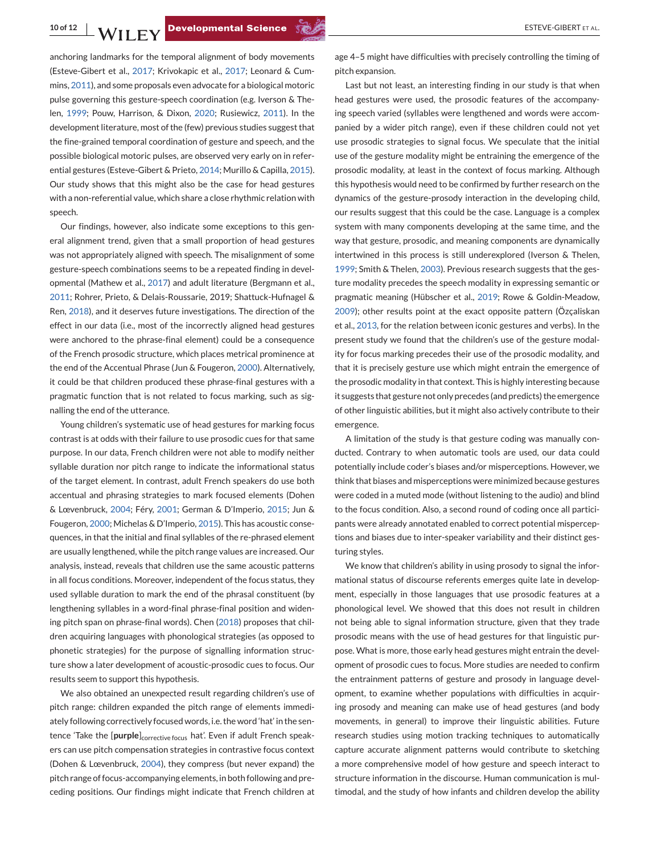anchoring landmarks for the temporal alignment of body movements (Esteve-Gibert et al., 2017; Krivokapic et al., 2017; Leonard & Cummins, 2011), and some proposals even advocate for a biological motoric pulse governing this gesture-speech coordination (e.g. Iverson & Thelen, 1999; Pouw, Harrison, & Dixon, 2020; Rusiewicz, 2011). In the development literature, most of the (few) previous studies suggest that the fine-grained temporal coordination of gesture and speech, and the possible biological motoric pulses, are observed very early on in referential gestures (Esteve-Gibert & Prieto, 2014; Murillo & Capilla, 2015). Our study shows that this might also be the case for head gestures with a non-referential value, which share a close rhythmic relation with speech.

Our findings, however, also indicate some exceptions to this general alignment trend, given that a small proportion of head gestures was not appropriately aligned with speech. The misalignment of some gesture-speech combinations seems to be a repeated finding in developmental (Mathew et al., 2017) and adult literature (Bergmann et al., 2011; Rohrer, Prieto, & Delais-Roussarie, 2019; Shattuck-Hufnagel & Ren, 2018), and it deserves future investigations. The direction of the effect in our data (i.e., most of the incorrectly aligned head gestures were anchored to the phrase-final element) could be a consequence of the French prosodic structure, which places metrical prominence at the end of the Accentual Phrase (Jun & Fougeron, 2000). Alternatively, it could be that children produced these phrase-final gestures with a pragmatic function that is not related to focus marking, such as signalling the end of the utterance.

Young children's systematic use of head gestures for marking focus contrast is at odds with their failure to use prosodic cues for that same purpose. In our data, French children were not able to modify neither syllable duration nor pitch range to indicate the informational status of the target element. In contrast, adult French speakers do use both accentual and phrasing strategies to mark focused elements (Dohen & Lœvenbruck, 2004; Féry, 2001; German & D'Imperio, 2015; Jun & Fougeron, 2000; Michelas & D'Imperio, 2015). This has acoustic consequences, in that the initial and final syllables of the re-phrased element are usually lengthened, while the pitch range values are increased. Our analysis, instead, reveals that children use the same acoustic patterns in all focus conditions. Moreover, independent of the focus status, they used syllable duration to mark the end of the phrasal constituent (by lengthening syllables in a word-final phrase-final position and widening pitch span on phrase-final words). Chen (2018) proposes that children acquiring languages with phonological strategies (as opposed to phonetic strategies) for the purpose of signalling information structure show a later development of acoustic-prosodic cues to focus. Our results seem to support this hypothesis.

We also obtained an unexpected result regarding children's use of pitch range: children expanded the pitch range of elements immediately following correctively focused words, i.e. the word 'hat' in the sentence 'Take the [purple]<sub>corrective focus</sub> hat'. Even if adult French speakers can use pitch compensation strategies in contrastive focus context (Dohen & Lœvenbruck, 2004), they compress (but never expand) the pitch range of focus-accompanying elements, in both following and preceding positions. Our findings might indicate that French children at

age 4–5 might have difficulties with precisely controlling the timing of pitch expansion.

Last but not least, an interesting finding in our study is that when head gestures were used, the prosodic features of the accompanying speech varied (syllables were lengthened and words were accompanied by a wider pitch range), even if these children could not yet use prosodic strategies to signal focus. We speculate that the initial use of the gesture modality might be entraining the emergence of the prosodic modality, at least in the context of focus marking. Although this hypothesis would need to be confirmed by further research on the dynamics of the gesture-prosody interaction in the developing child, our results suggest that this could be the case. Language is a complex system with many components developing at the same time, and the way that gesture, prosodic, and meaning components are dynamically intertwined in this process is still underexplored (Iverson & Thelen, 1999; Smith & Thelen, 2003). Previous research suggests that the gesture modality precedes the speech modality in expressing semantic or pragmatic meaning (Hübscher et al., 2019; Rowe & Goldin-Meadow, 2009); other results point at the exact opposite pattern (Özçaliskan et al., 2013, for the relation between iconic gestures and verbs). In the present study we found that the children's use of the gesture modality for focus marking precedes their use of the prosodic modality, and that it is precisely gesture use which might entrain the emergence of the prosodic modality in that context. This is highly interesting because it suggests that gesture not only precedes (and predicts) the emergence of other linguistic abilities, but it might also actively contribute to their emergence.

A limitation of the study is that gesture coding was manually conducted. Contrary to when automatic tools are used, our data could potentially include coder's biases and/or misperceptions. However, we think that biases and misperceptions were minimized because gestures were coded in a muted mode (without listening to the audio) and blind to the focus condition. Also, a second round of coding once all participants were already annotated enabled to correct potential misperceptions and biases due to inter-speaker variability and their distinct gesturing styles.

We know that children's ability in using prosody to signal the informational status of discourse referents emerges quite late in development, especially in those languages that use prosodic features at a phonological level. We showed that this does not result in children not being able to signal information structure, given that they trade prosodic means with the use of head gestures for that linguistic purpose. What is more, those early head gestures might entrain the development of prosodic cues to focus. More studies are needed to confirm the entrainment patterns of gesture and prosody in language development, to examine whether populations with difficulties in acquiring prosody and meaning can make use of head gestures (and body movements, in general) to improve their linguistic abilities. Future research studies using motion tracking techniques to automatically capture accurate alignment patterns would contribute to sketching a more comprehensive model of how gesture and speech interact to structure information in the discourse. Human communication is multimodal, and the study of how infants and children develop the ability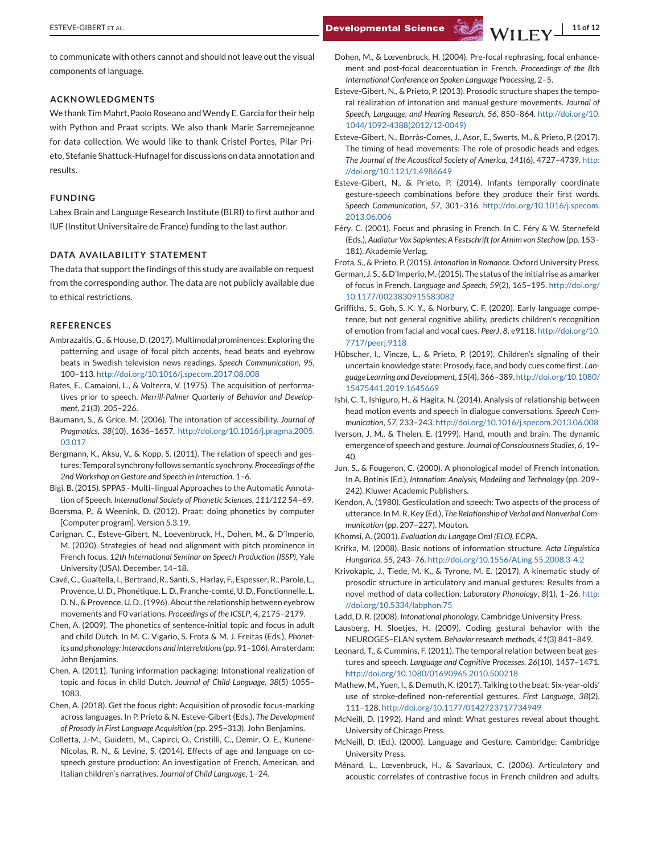to communicate with others cannot and should not leave out the visual components of language.

#### **ACKNOWLEDGMENTS**

We thank Tim Mahrt, Paolo Roseano and Wendy E. Garcia for their help with Python and Praat scripts. We also thank Marie Sarremejeanne for data collection. We would like to thank Cristel Portes, Pilar Prieto, Stefanie Shattuck-Hufnagel for discussions on data annotation and results.

#### **FUNDING**

Labex Brain and Language Research Institute (BLRI) to first author and IUF (Institut Universitaire de France) funding to the last author.

# **DATA AVAILABILITY STATEMENT**

The data that support the findings of this study are available on request from the corresponding author. The data are not publicly available due to ethical restrictions.

#### **REFERENCES**

- Ambrazaitis, G., & House, D. (2017). Multimodal prominences: Exploring the patterning and usage of focal pitch accents, head beats and eyebrow beats in Swedish television news readings. *Speech Communication*, *95*, 100–113. <http://doi.org/10.1016/j.specom.2017.08.008>
- Bates, E., Camaioni, L., & Volterra, V. (1975). The acquisition of performatives prior to speech. *Merrill-Palmer Quarterly of Behavior and Development*, *21*(3), 205–226.
- Baumann, S., & Grice, M. (2006). The intonation of accessibility. *Journal of Pragmatics*, *38*(10), 1636–1657. [http://doi.org/10.1016/j.pragma.2005.](http://doi.org/10.1016/j.pragma.2005.03.017) [03.017](http://doi.org/10.1016/j.pragma.2005.03.017)
- Bergmann, K., Aksu, V., & Kopp, S. (2011). The relation of speech and gestures: Temporal synchrony follows semantic synchrony. *Proceedings of the 2nd Workshop on Gesture and Speech in Interaction*, 1–6.
- Bigi, B. (2015). SPPAS Multi–lingual Approaches to the Automatic Annotation of Speech. *International Society of Phonetic Sciences*, *111/112* 54–69.
- Boersma, P., & Weenink, D. (2012). Praat: doing phonetics by computer [Computer program]. Version 5.3.19.
- Carignan, C., Esteve-Gibert, N., Loevenbruck, H., Dohen, M., & D'Imperio, M. (2020). Strategies of head nod alignment with pitch prominence in French focus. *12th International Seminar on Speech Production (ISSP)*, Yale University (USA). December, 14–18.
- Cavé, C., Guaïtella, I., Bertrand, R., Santi, S., Harlay, F., Espesser, R., Parole, L., Provence, U. D., Phonétique, L. D., Franche-comté, U. D., Fonctionnelle, L. D. N., & Provence, U. D.. (1996). About the relationship between eyebrow movements and F0 variations. *Proceedings of the ICSLP*, *4*, 2175–2179.
- Chen, A. (2009). The phonetics of sentence-initial topic and focus in adult and child Dutch. In M. C. Vigario, S. Frota & M. J. Freitas (Eds.), *Phonetics and phonology: Interactions and interrelations*(pp. 91–106). Amsterdam: John Benjamins.
- Chen, A. (2011). Tuning information packaging: Intonational realization of topic and focus in child Dutch. *Journal of Child Language*, *38*(5) 1055– 1083.
- Chen, A. (2018). Get the focus right: Acquisition of prosodic focus-marking across languages. In P. Prieto & N. Esteve-Gibert (Eds.), *The Development of Prosody in First Language Acquisition* (pp. 295–313). John Benjamins.
- Colletta, J.-M., Guidetti, M., Capirci, O., Cristilli, C., Demir, O. E., Kunene-Nicolas, R. N., & Levine, S. (2014). Effects of age and language on cospeech gesture production: An investigation of French, American, and Italian children's narratives. *Journal of Child Language*, 1–24.
- Dohen, M., & Lœvenbruck, H. (2004). Pre-focal rephrasing, focal enhancement and post-focal deaccentuation in French. *Proceedings of the 8th International Conference on Spoken Language Processing*, 2–5.
- Esteve-Gibert, N., & Prieto, P. (2013). Prosodic structure shapes the temporal realization of intonation and manual gesture movements. *Journal of Speech, Language, and Hearing Research*, *56*, 850–864. [http://doi.org/10.](http://doi.org/10.1044/1092-4388(2012/12-0049)) [1044/1092-4388\(2012/12-0049\)](http://doi.org/10.1044/1092-4388(2012/12-0049))
- Esteve-Gibert, N., Borràs-Comes, J., Asor, E., Swerts, M., & Prieto, P. (2017). The timing of head movements: The role of prosodic heads and edges. *The Journal of the Acoustical Society of America*, *141*(6), 4727–4739. [http:](http://doi.org/10.1121/1.4986649) [//doi.org/10.1121/1.4986649](http://doi.org/10.1121/1.4986649)
- Esteve-Gibert, N., & Prieto, P. (2014). Infants temporally coordinate gesture-speech combinations before they produce their first words. *Speech Communication*, *57*, 301–316. [http://doi.org/10.1016/j.specom.](http://doi.org/10.1016/j.specom.2013.06.006) [2013.06.006](http://doi.org/10.1016/j.specom.2013.06.006)
- Féry, C. (2001). Focus and phrasing in French. In C. Féry & W. Sternefeld (Eds.), *Audiatur Vox Sapientes: A Festschrift for Arnim von Stechow* (pp. 153– 181). Akademie Verlag.

Frota, S., & Prieto, P. (2015). *Intonation in Romance*. Oxford University Press.

German, J. S., & D'Imperio, M. (2015). The status of the initial rise as a marker of focus in French. *Language and Speech*, *59*(2), 165–195. [http://doi.org/](http://doi.org/10.1177/0023830915583082) [10.1177/0023830915583082](http://doi.org/10.1177/0023830915583082)

- Griffiths, S., Goh, S. K. Y., & Norbury, C. F. (2020). Early language competence, but not general cognitive ability, predicts children's recognition of emotion from facial and vocal cues. *PeerJ*, *8*, e9118. [http://doi.org/10.](http://doi.org/10.7717/peerj.9118) [7717/peerj.9118](http://doi.org/10.7717/peerj.9118)
- Hübscher, I., Vincze, L., & Prieto, P. (2019). Children's signaling of their uncertain knowledge state: Prosody, face, and body cues come first. *Language Learning and Development*, *15*(4), 366–389. [http://doi.org/10.1080/](http://doi.org/10.1080/15475441.2019.1645669) [15475441.2019.1645669](http://doi.org/10.1080/15475441.2019.1645669)
- Ishi, C. T., Ishiguro, H., & Hagita, N. (2014). Analysis of relationship between head motion events and speech in dialogue conversations. *Speech Communication*, *57*, 233–243. <http://doi.org/10.1016/j.specom.2013.06.008>
- Iverson, J. M., & Thelen, E. (1999). Hand, mouth and brain. The dynamic emergence of speech and gesture. *Journal of Consciousness Studies*, *6*, 19– 40.
- Jun, S., & Fougeron, C. (2000). A phonological model of French intonation. In A. Botinis (Ed.), *Intonation: Analysis, Modeling and Technology* (pp. 209– 242). Kluwer Academic Publishers.
- Kendon, A. (1980). Gesticulation and speech: Two aspects of the process of utterance. In M. R. Key (Ed.), *The Relationship of Verbal and Nonverbal Communication* (pp. 207–227). Mouton.
- Khomsi, A. (2001). *Evaluation du Langage Oral (ELO)*. ECPA.
- Krifka, M. (2008). Basic notions of information structure. *Acta Linguistica Hungarica*, *55*, 243–76. <http://doi.org/10.1556/ALing.55.2008.3-4.2>
- Krivokapic, J., Tiede, M. K., & Tyrone, M. E. (2017). A kinematic study of prosodic structure in articulatory and manual gestures: Results from a novel method of data collection. *Laboratory Phonology*, *8*(1), 1–26. [http:](http://doi.org/10.5334/labphon.75) [//doi.org/10.5334/labphon.75](http://doi.org/10.5334/labphon.75)

Ladd, D. R. (2008). *Intonational phonology*. Cambridge University Press.

- Lausberg, H. Sloetjes, H. (2009). Coding gestural behavior with the NEUROGES–ELAN system. *Behavior research methods*, *41*(3) 841–849.
- Leonard, T., & Cummins, F. (2011). The temporal relation between beat gestures and speech. *Language and Cognitive Processes*, *26*(10), 1457–1471. <http://doi.org/10.1080/01690965.2010.500218>
- Mathew, M., Yuen, I., & Demuth, K. (2017). Talking to the beat: Six-year-olds' use of stroke-defined non-referential gestures. *First Language*, *38*(2), 111–128. <http://doi.org/10.1177/0142723717734949>
- McNeill, D. (1992). Hand and mind: What gestures reveal about thought. University of Chicago Press.
- McNeill, D. (Ed.). (2000). Language and Gesture. Cambridge: Cambridge University Press.
- Ménard, L., Lœvenbruck, H., & Savariaux, C. (2006). Articulatory and acoustic correlates of contrastive focus in French children and adults.